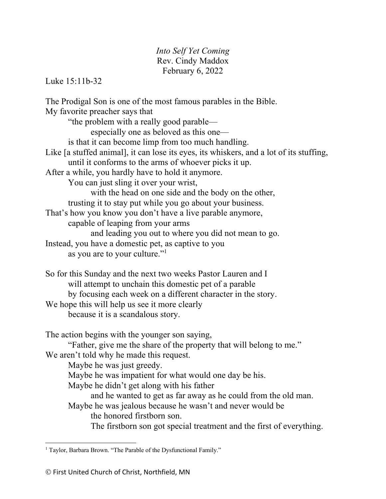## *Into Self Yet Coming* Rev. Cindy Maddox February 6, 2022

Luke 15:11b-32

The Prodigal Son is one of the most famous parables in the Bible. My favorite preacher says that "the problem with a really good parable especially one as beloved as this one is that it can become limp from too much handling. Like [a stuffed animal], it can lose its eyes, its whiskers, and a lot of its stuffing, until it conforms to the arms of whoever picks it up. After a while, you hardly have to hold it anymore. You can just sling it over your wrist, with the head on one side and the body on the other, trusting it to stay put while you go about your business. That's how you know you don't have a live parable anymore, capable of leaping from your arms and leading you out to where you did not mean to go. Instead, you have a domestic pet, as captive to you as you are to your culture."<sup>1</sup> So for this Sunday and the next two weeks Pastor Lauren and I will attempt to unchain this domestic pet of a parable by focusing each week on a different character in the story. We hope this will help us see it more clearly because it is a scandalous story. The action begins with the younger son saying, "Father, give me the share of the property that will belong to me." We aren't told why he made this request. Maybe he was just greedy. Maybe he was impatient for what would one day be his. Maybe he didn't get along with his father and he wanted to get as far away as he could from the old man. Maybe he was jealous because he wasn't and never would be the honored firstborn son. The firstborn son got special treatment and the first of everything.

<sup>&</sup>lt;sup>1</sup> Taylor, Barbara Brown. "The Parable of the Dysfunctional Family."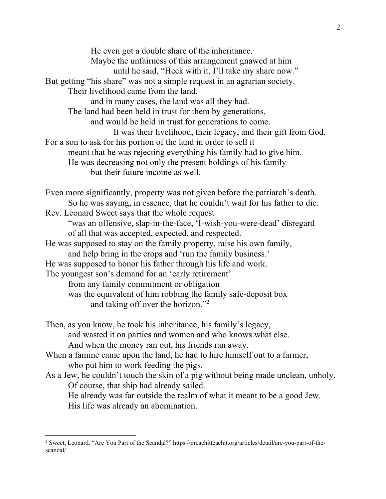He even got a double share of the inheritance. Maybe the unfairness of this arrangement gnawed at him until he said, "Heck with it, I'll take my share now." But getting "his share" was not a simple request in an agrarian society. Their livelihood came from the land, and in many cases, the land was all they had. The land had been held in trust for them by generations, and would be held in trust for generations to come. It was their livelihood, their legacy, and their gift from God. For a son to ask for his portion of the land in order to sell it meant that he was rejecting everything his family had to give him. He was decreasing not only the present holdings of his family but their future income as well. Even more significantly, property was not given before the patriarch's death. So he was saying, in essence, that he couldn't wait for his father to die. Rev. Leonard Sweet says that the whole request "was an offensive, slap-in-the-face, 'I-wish-you-were-dead' disregard of all that was accepted, expected, and respected. He was supposed to stay on the family property, raise his own family, and help bring in the crops and 'run the family business.' He was supposed to honor his father through his life and work. The youngest son's demand for an 'early retirement' from any family commitment or obligation was the equivalent of him robbing the family safe-deposit box and taking off over the horizon."2 Then, as you know, he took his inheritance, his family's legacy, and wasted it on parties and women and who knows what else. And when the money ran out, his friends ran away. When a famine came upon the land, he had to hire himself out to a farmer, who put him to work feeding the pigs. As a Jew, he couldn't touch the skin of a pig without being made unclean, unholy. Of course, that ship had already sailed. He already was far outside the realm of what it meant to be a good Jew.

His life was already an abomination.

<sup>&</sup>lt;sup>2</sup> Sweet, Leonard. "Are You Part of the Scandal?" https://preachitteachit.org/articles/detail/are-you-part-of-thescandal/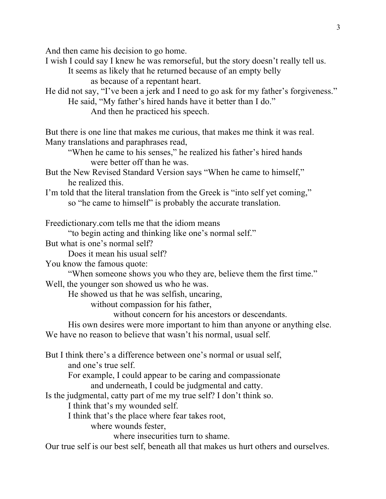And then came his decision to go home.

I wish I could say I knew he was remorseful, but the story doesn't really tell us.

It seems as likely that he returned because of an empty belly

as because of a repentant heart.

He did not say, "I've been a jerk and I need to go ask for my father's forgiveness." He said, "My father's hired hands have it better than I do."

And then he practiced his speech.

But there is one line that makes me curious, that makes me think it was real. Many translations and paraphrases read,

"When he came to his senses," he realized his father's hired hands were better off than he was.

But the New Revised Standard Version says "When he came to himself," he realized this.

I'm told that the literal translation from the Greek is "into self yet coming," so "he came to himself" is probably the accurate translation.

Freedictionary.com tells me that the idiom means

"to begin acting and thinking like one's normal self."

But what is one's normal self?

Does it mean his usual self?

You know the famous quote:

"When someone shows you who they are, believe them the first time."

Well, the younger son showed us who he was.

He showed us that he was selfish, uncaring,

without compassion for his father,

without concern for his ancestors or descendants.

His own desires were more important to him than anyone or anything else. We have no reason to believe that wasn't his normal, usual self.

But I think there's a difference between one's normal or usual self, and one's true self. For example, I could appear to be caring and compassionate and underneath, I could be judgmental and catty. Is the judgmental, catty part of me my true self? I don't think so. I think that's my wounded self. I think that's the place where fear takes root, where wounds fester,

where insecurities turn to shame.

Our true self is our best self, beneath all that makes us hurt others and ourselves.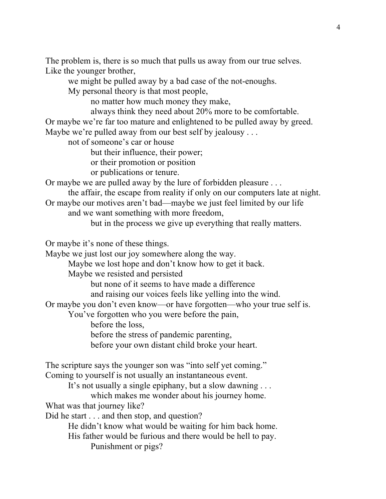The problem is, there is so much that pulls us away from our true selves. Like the younger brother,

we might be pulled away by a bad case of the not-enoughs. My personal theory is that most people,

no matter how much money they make,

always think they need about 20% more to be comfortable.

Or maybe we're far too mature and enlightened to be pulled away by greed. Maybe we're pulled away from our best self by jealousy . . .

not of someone's car or house

but their influence, their power;

or their promotion or position

or publications or tenure.

Or maybe we are pulled away by the lure of forbidden pleasure . . .

the affair, the escape from reality if only on our computers late at night. Or maybe our motives aren't bad—maybe we just feel limited by our life

and we want something with more freedom,

but in the process we give up everything that really matters.

Or maybe it's none of these things.

Maybe we just lost our joy somewhere along the way.

Maybe we lost hope and don't know how to get it back.

Maybe we resisted and persisted

but none of it seems to have made a difference

and raising our voices feels like yelling into the wind.

Or maybe you don't even know—or have forgotten—who your true self is.

You've forgotten who you were before the pain,

before the loss,

before the stress of pandemic parenting,

before your own distant child broke your heart.

The scripture says the younger son was "into self yet coming." Coming to yourself is not usually an instantaneous event.

It's not usually a single epiphany, but a slow dawning . . .

which makes me wonder about his journey home.

What was that journey like?

Did he start . . . and then stop, and question?

He didn't know what would be waiting for him back home.

His father would be furious and there would be hell to pay. Punishment or pigs?